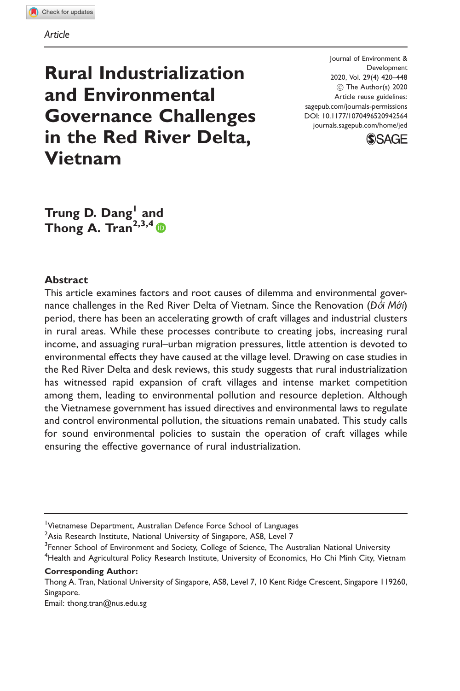# Rural Industrialization and Environmental Governance Challenges in the Red River Delta, Vietnam

Journal of Environment & Development 2020, Vol. 29(4) 420–448 ! The Author(s) 2020 Article reuse guidelines: [sagepub.com/journals-permissions](http://us.sagepub.com/en-us/journals-permissions) [DOI: 10.1177/1070496520942564](http://dx.doi.org/10.1177/1070496520942564) <journals.sagepub.com/home/jed>



Trung D. Dang<sup>1</sup> and Thong A. Tran<sup>2,3,4</sup>  $\bullet$ 

#### **Abstract**

This article examines factors and root causes of dilemma and environmental governance challenges in the Red River Delta of Vietnam. Since the Renovation (Đ*ổi Mới*) period, there has been an accelerating growth of craft villages and industrial clusters in rural areas. While these processes contribute to creating jobs, increasing rural income, and assuaging rural–urban migration pressures, little attention is devoted to environmental effects they have caused at the village level. Drawing on case studies in the Red River Delta and desk reviews, this study suggests that rural industrialization has witnessed rapid expansion of craft villages and intense market competition among them, leading to environmental pollution and resource depletion. Although the Vietnamese government has issued directives and environmental laws to regulate and control environmental pollution, the situations remain unabated. This study calls for sound environmental policies to sustain the operation of craft villages while ensuring the effective governance of rural industrialization.

Corresponding Author:

Email: [thong.tran@nus.edu.sg](mailto:thong.tran@nus.edu.sg)

<sup>&</sup>lt;sup>1</sup>Vietnamese Department, Australian Defence Force School of Languages

 $^2$ Asia Research Institute, National University of Singapore, AS8, Level 7

<sup>&</sup>lt;sup>3</sup>Fenner School of Environment and Society, College of Science, The Australian National University <sup>4</sup>Health and Agricultural Policy Research Institute, University of Economics, Ho Chi Minh City, Vietnam

Thong A. Tran, National University of Singapore, AS8, Level 7, 10 Kent Ridge Crescent, Singapore 119260, Singapore.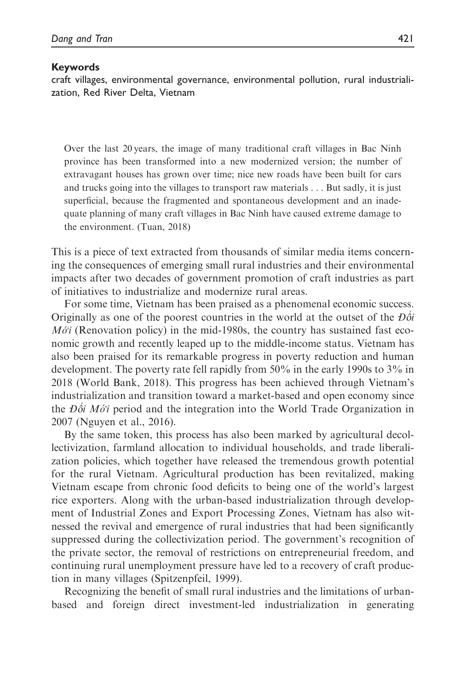#### Keywords

craft villages, environmental governance, environmental pollution, rural industrialization, Red River Delta, Vietnam

Over the last 20 years, the image of many traditional craft villages in Bac Ninh province has been transformed into a new modernized version; the number of extravagant houses has grown over time; nice new roads have been built for cars and trucks going into the villages to transport raw materials . . . But sadly, it is just superficial, because the fragmented and spontaneous development and an inadequate planning of many craft villages in Bac Ninh have caused extreme damage to the environment. (Tuan, 2018)

This is a piece of text extracted from thousands of similar media items concerning the consequences of emerging small rural industries and their environmental impacts after two decades of government promotion of craft industries as part of initiatives to industrialize and modernize rural areas.

For some time, Vietnam has been praised as a phenomenal economic success. Originally as one of the poorest countries in the world at the outset of the  $D\delta i$  $M\acute{o}i$  (Renovation policy) in the mid-1980s, the country has sustained fast economic growth and recently leaped up to the middle-income status. Vietnam has also been praised for its remarkable progress in poverty reduction and human development. The poverty rate fell rapidly from 50% in the early 1990s to 3% in 2018 (World Bank, 2018). This progress has been achieved through Vietnam's industrialization and transition toward a market-based and open economy since the  $D\dot{\delta}i$  Mó<sup>-i</sup> period and the integration into the World Trade Organization in 2007 (Nguyen et al., 2016).

By the same token, this process has also been marked by agricultural decollectivization, farmland allocation to individual households, and trade liberalization policies, which together have released the tremendous growth potential for the rural Vietnam. Agricultural production has been revitalized, making Vietnam escape from chronic food deficits to being one of the world's largest rice exporters. Along with the urban-based industrialization through development of Industrial Zones and Export Processing Zones, Vietnam has also witnessed the revival and emergence of rural industries that had been significantly suppressed during the collectivization period. The government's recognition of the private sector, the removal of restrictions on entrepreneurial freedom, and continuing rural unemployment pressure have led to a recovery of craft production in many villages (Spitzenpfeil, 1999).

Recognizing the benefit of small rural industries and the limitations of urbanbased and foreign direct investment-led industrialization in generating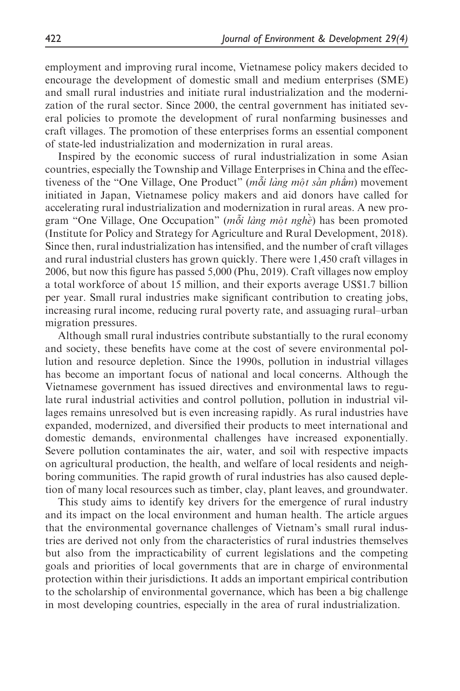employment and improving rural income, Vietnamese policy makers decided to encourage the development of domestic small and medium enterprises (SME) and small rural industries and initiate rural industrialization and the modernization of the rural sector. Since 2000, the central government has initiated several policies to promote the development of rural nonfarming businesses and craft villages. The promotion of these enterprises forms an essential component of state-led industrialization and modernization in rural areas.

Inspired by the economic success of rural industrialization in some Asian countries, especially the Township and Village Enterprises in China and the effectiveness of the "One Village, One Product" (mot lang mot san pham) movement initiated in Japan, Vietnamese policy makers and aid donors have called for accelerating rural industrialization and modernization in rural areas. A new program "One Village, One Occupation" ( $m\tilde{\delta}i$  lang mo $\tilde{\rho}t$  nghe $\tilde{\rho}$ ) has been promoted (Institute for Policy and Strategy for Agriculture and Rural Development, 2018). Since then, rural industrialization has intensified, and the number of craft villages and rural industrial clusters has grown quickly. There were 1,450 craft villages in 2006, but now this figure has passed 5,000 (Phu, 2019). Craft villages now employ a total workforce of about 15 million, and their exports average US\$1.7 billion per year. Small rural industries make significant contribution to creating jobs, increasing rural income, reducing rural poverty rate, and assuaging rural–urban migration pressures.

Although small rural industries contribute substantially to the rural economy and society, these benefits have come at the cost of severe environmental pollution and resource depletion. Since the 1990s, pollution in industrial villages has become an important focus of national and local concerns. Although the Vietnamese government has issued directives and environmental laws to regulate rural industrial activities and control pollution, pollution in industrial villages remains unresolved but is even increasing rapidly. As rural industries have expanded, modernized, and diversified their products to meet international and domestic demands, environmental challenges have increased exponentially. Severe pollution contaminates the air, water, and soil with respective impacts on agricultural production, the health, and welfare of local residents and neighboring communities. The rapid growth of rural industries has also caused depletion of many local resources such as timber, clay, plant leaves, and groundwater.

This study aims to identify key drivers for the emergence of rural industry and its impact on the local environment and human health. The article argues that the environmental governance challenges of Vietnam's small rural industries are derived not only from the characteristics of rural industries themselves but also from the impracticability of current legislations and the competing goals and priorities of local governments that are in charge of environmental protection within their jurisdictions. It adds an important empirical contribution to the scholarship of environmental governance, which has been a big challenge in most developing countries, especially in the area of rural industrialization.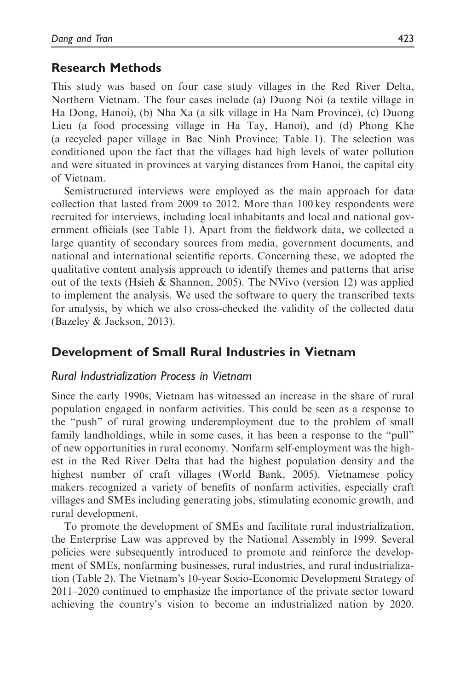## Research Methods

This study was based on four case study villages in the Red River Delta, Northern Vietnam. The four cases include (a) Duong Noi (a textile village in Ha Dong, Hanoi), (b) Nha Xa (a silk village in Ha Nam Province), (c) Duong Lieu (a food processing village in Ha Tay, Hanoi), and (d) Phong Khe (a recycled paper village in Bac Ninh Province; Table 1). The selection was conditioned upon the fact that the villages had high levels of water pollution and were situated in provinces at varying distances from Hanoi, the capital city of Vietnam.

Semistructured interviews were employed as the main approach for data collection that lasted from 2009 to 2012. More than 100 key respondents were recruited for interviews, including local inhabitants and local and national government officials (see Table 1). Apart from the fieldwork data, we collected a large quantity of secondary sources from media, government documents, and national and international scientific reports. Concerning these, we adopted the qualitative content analysis approach to identify themes and patterns that arise out of the texts (Hsieh & Shannon, 2005). The NVivo (version 12) was applied to implement the analysis. We used the software to query the transcribed texts for analysis, by which we also cross-checked the validity of the collected data (Bazeley & Jackson, 2013).

# Development of Small Rural Industries in Vietnam

#### Rural Industrialization Process in Vietnam

Since the early 1990s, Vietnam has witnessed an increase in the share of rural population engaged in nonfarm activities. This could be seen as a response to the "push" of rural growing underemployment due to the problem of small family landholdings, while in some cases, it has been a response to the "pull" of new opportunities in rural economy. Nonfarm self-employment was the highest in the Red River Delta that had the highest population density and the highest number of craft villages (World Bank, 2005). Vietnamese policy makers recognized a variety of benefits of nonfarm activities, especially craft villages and SMEs including generating jobs, stimulating economic growth, and rural development.

To promote the development of SMEs and facilitate rural industrialization, the Enterprise Law was approved by the National Assembly in 1999. Several policies were subsequently introduced to promote and reinforce the development of SMEs, nonfarming businesses, rural industries, and rural industrialization (Table 2). The Vietnam's 10-year Socio-Economic Development Strategy of 2011–2020 continued to emphasize the importance of the private sector toward achieving the country's vision to become an industrialized nation by 2020.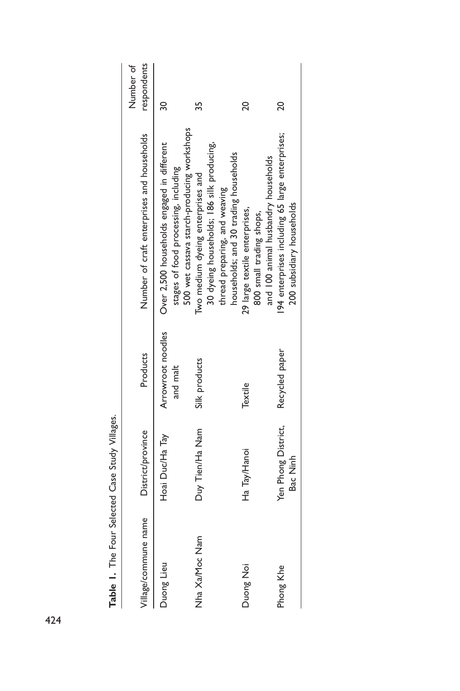| Table 1. The Four Selected Case Study Villages. |                                 |                               |                                                                                                                                                                                                        |                          |
|-------------------------------------------------|---------------------------------|-------------------------------|--------------------------------------------------------------------------------------------------------------------------------------------------------------------------------------------------------|--------------------------|
| Village/commune name                            | District/province               | Products                      | Number of craft enterprises and households                                                                                                                                                             | respondents<br>Number of |
| Duong Lieu                                      | Hoai Duc/Ha Tay                 | Arrowroot noodles<br>and malt | Over 2,500 households engaged in different<br>stages of food processing, including                                                                                                                     | 30                       |
| Nha Xa/Moc Nam                                  | Duy Tien/Ha Nam                 | Silk products                 | 500 wet cassava starch-producing workshops<br>30 dyeing households; 186 silk producing,<br>households; and 30 trading households<br>Two medium dyeing enterprises and<br>thread preparing, and weaving | 35                       |
| Duong Noi                                       | Ha Tay/Hanoi                    | Textile                       | and 100 animal husbandry households<br>29 large textile enterprises,<br>800 small trading shops,                                                                                                       | 20                       |
| Phong Khe                                       | Yen Phong District,<br>Bac Ninh | Recycled paper                | 194 enterprises including 65 large enterprises;<br>200 subsidiary households                                                                                                                           | $\overline{c}$           |
|                                                 |                                 |                               |                                                                                                                                                                                                        |                          |

| ١<br>Ĭ |
|--------|
| Í      |
| í      |
|        |
| ı      |
| ş      |
|        |
|        |

424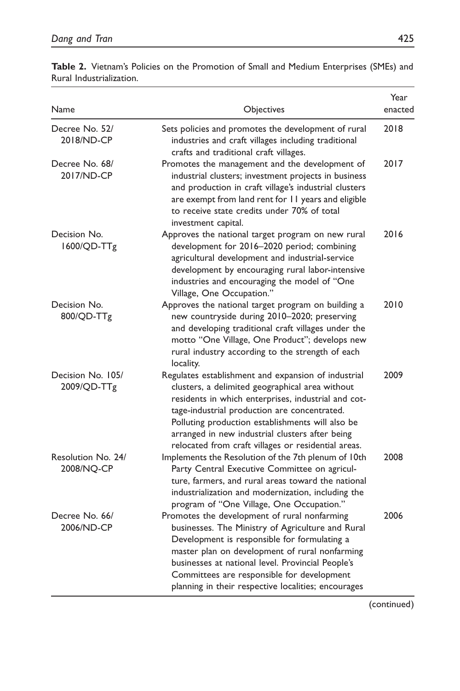| Name                             | Objectives                                                                                                                                                                                                                                                                                                                                                                  | Year<br>enacted |
|----------------------------------|-----------------------------------------------------------------------------------------------------------------------------------------------------------------------------------------------------------------------------------------------------------------------------------------------------------------------------------------------------------------------------|-----------------|
| Decree No. 52/<br>2018/ND-CP     | Sets policies and promotes the development of rural<br>industries and craft villages including traditional<br>crafts and traditional craft villages.                                                                                                                                                                                                                        | 2018            |
| Decree No. 68/<br>2017/ND-CP     | Promotes the management and the development of<br>industrial clusters; investment projects in business<br>and production in craft village's industrial clusters<br>are exempt from land rent for 11 years and eligible<br>to receive state credits under 70% of total<br>investment capital.                                                                                | 2017            |
| Decision No.<br>1600/QD-TTg      | Approves the national target program on new rural<br>development for 2016-2020 period; combining<br>agricultural development and industrial-service<br>development by encouraging rural labor-intensive<br>industries and encouraging the model of "One<br>Village, One Occupation."                                                                                        | 2016            |
| Decision No.<br>800/QD-TTg       | Approves the national target program on building a<br>new countryside during 2010-2020; preserving<br>and developing traditional craft villages under the<br>motto "One Village, One Product"; develops new<br>rural industry according to the strength of each<br>locality.                                                                                                | 2010            |
| Decision No. 105/<br>2009/QD-TTg | Regulates establishment and expansion of industrial<br>clusters, a delimited geographical area without<br>residents in which enterprises, industrial and cot-<br>tage-industrial production are concentrated.<br>Polluting production establishments will also be<br>arranged in new industrial clusters after being<br>relocated from craft villages or residential areas. | 2009            |
| Resolution No. 24/<br>2008/NO-CP | Implements the Resolution of the 7th plenum of 10th<br>Party Central Executive Committee on agricul-<br>ture, farmers, and rural areas toward the national<br>industrialization and modernization, including the<br>program of "One Village, One Occupation."                                                                                                               | 2008            |
| Decree No. 66/<br>2006/ND-CP     | Promotes the development of rural nonfarming<br>businesses. The Ministry of Agriculture and Rural<br>Development is responsible for formulating a<br>master plan on development of rural nonfarming<br>businesses at national level. Provincial People's<br>Committees are responsible for development<br>planning in their respective localities; encourages               | 2006            |

Table 2. Vietnam's Policies on the Promotion of Small and Medium Enterprises (SMEs) and Rural Industrialization.

(continued)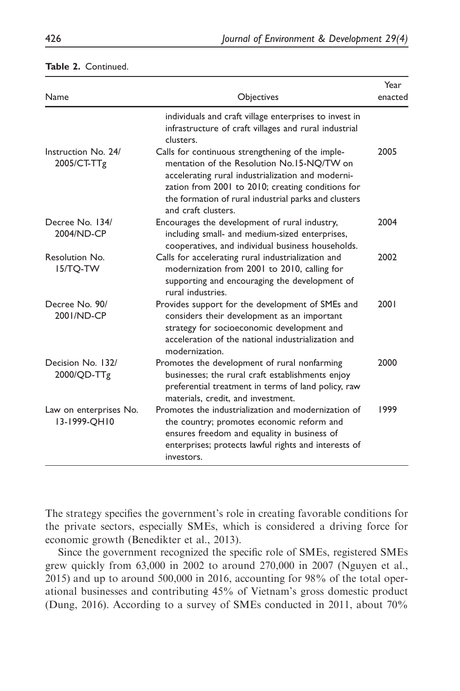| <b>Name</b>                            | Objectives                                                                                                                                                                                                                                                                              | Year<br>enacted |
|----------------------------------------|-----------------------------------------------------------------------------------------------------------------------------------------------------------------------------------------------------------------------------------------------------------------------------------------|-----------------|
|                                        | individuals and craft village enterprises to invest in<br>infrastructure of craft villages and rural industrial<br>clusters.                                                                                                                                                            |                 |
| Instruction No. 24/<br>2005/CT-TTg     | Calls for continuous strengthening of the imple-<br>mentation of the Resolution No.15-NO/TW on<br>accelerating rural industrialization and moderni-<br>zation from 2001 to 2010; creating conditions for<br>the formation of rural industrial parks and clusters<br>and craft clusters. | 2005            |
| Decree No. 134/<br>2004/ND-CP          | Encourages the development of rural industry,<br>including small- and medium-sized enterprises,<br>cooperatives, and individual business households.                                                                                                                                    | 2004            |
| Resolution No.<br><b>IS/TO-TW</b>      | Calls for accelerating rural industrialization and<br>modernization from 2001 to 2010, calling for<br>supporting and encouraging the development of<br>rural industries.                                                                                                                | 2002            |
| Decree No. 90/<br>2001/ND-CP           | Provides support for the development of SMEs and<br>considers their development as an important<br>strategy for socioeconomic development and<br>acceleration of the national industrialization and<br>modernization.                                                                   | 2001            |
| Decision No. 132/<br>2000/QD-TTg       | Promotes the development of rural nonfarming<br>businesses; the rural craft establishments enjoy<br>preferential treatment in terms of land policy, raw<br>materials, credit, and investment.                                                                                           | 2000            |
| Law on enterprises No.<br>13-1999-OH10 | Promotes the industrialization and modernization of<br>the country; promotes economic reform and<br>ensures freedom and equality in business of<br>enterprises; protects lawful rights and interests of<br>investors.                                                                   | 1999            |

#### Table 2. Continued.

The strategy specifies the government's role in creating favorable conditions for the private sectors, especially SMEs, which is considered a driving force for economic growth (Benedikter et al., 2013).

Since the government recognized the specific role of SMEs, registered SMEs grew quickly from 63,000 in 2002 to around 270,000 in 2007 (Nguyen et al., 2015) and up to around 500,000 in 2016, accounting for 98% of the total operational businesses and contributing 45% of Vietnam's gross domestic product (Dung, 2016). According to a survey of SMEs conducted in 2011, about 70%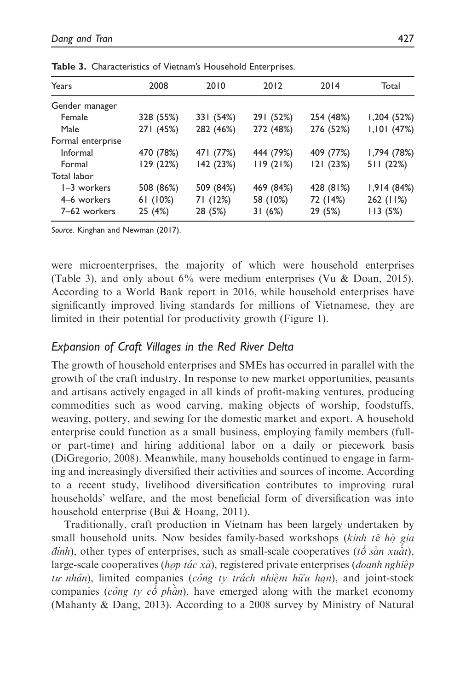| Years             | 2008      | 2010      | 2012      | 2014      | Total         |
|-------------------|-----------|-----------|-----------|-----------|---------------|
| Gender manager    |           |           |           |           |               |
| Female            | 328 (55%) | 331 (54%) | 291 (52%) | 254 (48%) | 1,204(52%)    |
| Male              | 271 (45%) | 282 (46%) | 272 (48%) | 276 (52%) | $1,101$ (47%) |
| Formal enterprise |           |           |           |           |               |
| Informal          | 470 (78%) | 471 (77%) | 444 (79%) | 409 (77%) | 1,794 (78%)   |
| Formal            | 129 (22%) | 142 (23%) | 119(21%)  | 121(23%)  | 511(22%)      |
| Total labor       |           |           |           |           |               |
| 1-3 workers       | 508 (86%) | 509 (84%) | 469 (84%) | 428 (81%) | 1,914(84%)    |
| 4–6 workers       | 61(10%)   | 71 (12%)  | 58 (10%)  | 72 (14%)  | 262 (11%)     |
| 7-62 workers      | 25 (4%)   | 28 (5%)   | 31 (6%)   | 29 (5%)   | 113(5%)       |

Table 3. Characteristics of Vietnam's Household Enterprises.

Source. Kinghan and Newman (2017).

were microenterprises, the majority of which were household enterprises (Table 3), and only about 6% were medium enterprises (Vu & Doan, 2015). According to a World Bank report in 2016, while household enterprises have significantly improved living standards for millions of Vietnamese, they are limited in their potential for productivity growth (Figure 1).

## Expansion of Craft Villages in the Red River Delta

The growth of household enterprises and SMEs has occurred in parallel with the growth of the craft industry. In response to new market opportunities, peasants and artisans actively engaged in all kinds of profit-making ventures, producing commodities such as wood carving, making objects of worship, foodstuffs, weaving, pottery, and sewing for the domestic market and export. A household enterprise could function as a small business, employing family members (fullor part-time) and hiring additional labor on a daily or piecework basis (DiGregorio, 2008). Meanwhile, many households continued to engage in farming and increasingly diversified their activities and sources of income. According to a recent study, livelihood diversification contributes to improving rural households' welfare, and the most beneficial form of diversification was into household enterprise (Bui & Hoang, 2011).

Traditionally, craft production in Vietnam has been largely undertaken by small household units. Now besides family-based workshops (kinh te<sup> $\hat{h}$ </sup> gia *dinh*), other types of enterprises, such as small-scale cooperatives (*t*<sup> $\acute{\text{o}}$ </sup> *san xu* $\ddot{\acute{a}}$ *t*), large-scale cooperatives (h*op tác xã*), registered private enterprises (*doanh nghiệp* tư nhân), limited companies (công ty trách nhiệm hữu hạn), and joint-stock companies (công ty cô phân), have emerged along with the market economy (Mahanty & Dang, 2013). According to a 2008 survey by Ministry of Natural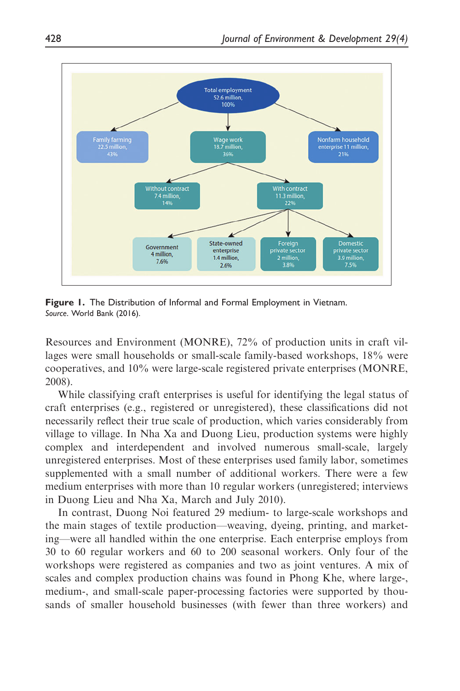

Figure 1. The Distribution of Informal and Formal Employment in Vietnam. Source. World Bank (2016).

Resources and Environment (MONRE), 72% of production units in craft villages were small households or small-scale family-based workshops, 18% were cooperatives, and 10% were large-scale registered private enterprises (MONRE, 2008).

While classifying craft enterprises is useful for identifying the legal status of craft enterprises (e.g., registered or unregistered), these classifications did not necessarily reflect their true scale of production, which varies considerably from village to village. In Nha Xa and Duong Lieu, production systems were highly complex and interdependent and involved numerous small-scale, largely unregistered enterprises. Most of these enterprises used family labor, sometimes supplemented with a small number of additional workers. There were a few medium enterprises with more than 10 regular workers (unregistered; interviews in Duong Lieu and Nha Xa, March and July 2010).

In contrast, Duong Noi featured 29 medium- to large-scale workshops and the main stages of textile production—weaving, dyeing, printing, and marketing—were all handled within the one enterprise. Each enterprise employs from 30 to 60 regular workers and 60 to 200 seasonal workers. Only four of the workshops were registered as companies and two as joint ventures. A mix of scales and complex production chains was found in Phong Khe, where large-, medium-, and small-scale paper-processing factories were supported by thousands of smaller household businesses (with fewer than three workers) and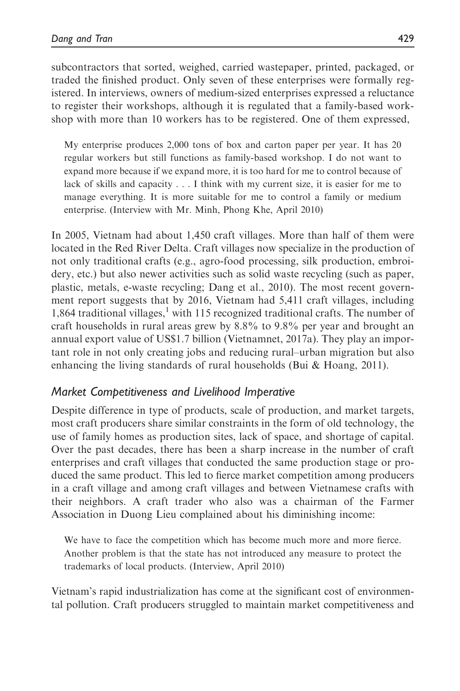subcontractors that sorted, weighed, carried wastepaper, printed, packaged, or traded the finished product. Only seven of these enterprises were formally registered. In interviews, owners of medium-sized enterprises expressed a reluctance to register their workshops, although it is regulated that a family-based workshop with more than 10 workers has to be registered. One of them expressed,

My enterprise produces 2,000 tons of box and carton paper per year. It has 20 regular workers but still functions as family-based workshop. I do not want to expand more because if we expand more, it is too hard for me to control because of lack of skills and capacity . . . I think with my current size, it is easier for me to manage everything. It is more suitable for me to control a family or medium enterprise. (Interview with Mr. Minh, Phong Khe, April 2010)

In 2005, Vietnam had about 1,450 craft villages. More than half of them were located in the Red River Delta. Craft villages now specialize in the production of not only traditional crafts (e.g., agro-food processing, silk production, embroidery, etc.) but also newer activities such as solid waste recycling (such as paper, plastic, metals, e-waste recycling; Dang et al., 2010). The most recent government report suggests that by 2016, Vietnam had 5,411 craft villages, including 1,864 traditional villages, $<sup>1</sup>$  with 115 recognized traditional crafts. The number of</sup> craft households in rural areas grew by 8.8% to 9.8% per year and brought an annual export value of US\$1.7 billion (Vietnamnet, 2017a). They play an important role in not only creating jobs and reducing rural–urban migration but also enhancing the living standards of rural households (Bui  $\&$  Hoang, 2011).

# Market Competitiveness and Livelihood Imperative

Despite difference in type of products, scale of production, and market targets, most craft producers share similar constraints in the form of old technology, the use of family homes as production sites, lack of space, and shortage of capital. Over the past decades, there has been a sharp increase in the number of craft enterprises and craft villages that conducted the same production stage or produced the same product. This led to fierce market competition among producers in a craft village and among craft villages and between Vietnamese crafts with their neighbors. A craft trader who also was a chairman of the Farmer Association in Duong Lieu complained about his diminishing income:

We have to face the competition which has become much more and more fierce. Another problem is that the state has not introduced any measure to protect the trademarks of local products. (Interview, April 2010)

Vietnam's rapid industrialization has come at the significant cost of environmental pollution. Craft producers struggled to maintain market competitiveness and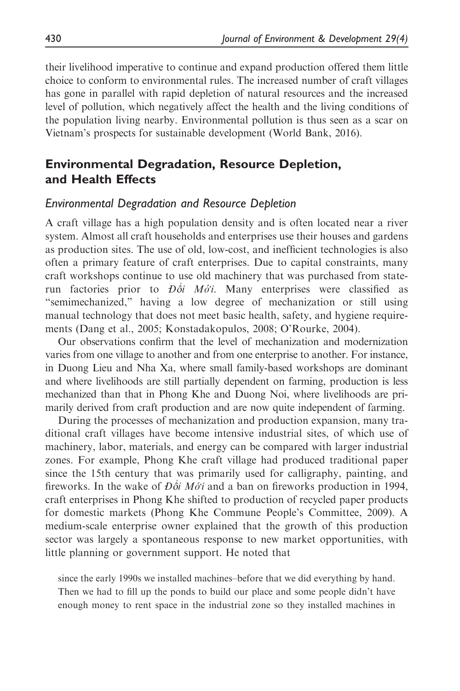their livelihood imperative to continue and expand production offered them little choice to conform to environmental rules. The increased number of craft villages has gone in parallel with rapid depletion of natural resources and the increased level of pollution, which negatively affect the health and the living conditions of the population living nearby. Environmental pollution is thus seen as a scar on Vietnam's prospects for sustainable development (World Bank, 2016).

# Environmental Degradation, Resource Depletion, and Health Effects

#### Environmental Degradation and Resource Depletion

A craft village has a high population density and is often located near a river system. Almost all craft households and enterprises use their houses and gardens as production sites. The use of old, low-cost, and inefficient technologies is also often a primary feature of craft enterprises. Due to capital constraints, many craft workshops continue to use old machinery that was purchased from staterun factories prior to  $D\dot{\delta}i$  Mó<sup>t</sup>i. Many enterprises were classified as "semimechanized," having a low degree of mechanization or still using manual technology that does not meet basic health, safety, and hygiene requirements (Dang et al., 2005; Konstadakopulos, 2008; O'Rourke, 2004).

Our observations confirm that the level of mechanization and modernization varies from one village to another and from one enterprise to another. For instance, in Duong Lieu and Nha Xa, where small family-based workshops are dominant and where livelihoods are still partially dependent on farming, production is less mechanized than that in Phong Khe and Duong Noi, where livelihoods are primarily derived from craft production and are now quite independent of farming.

During the processes of mechanization and production expansion, many traditional craft villages have become intensive industrial sites, of which use of machinery, labor, materials, and energy can be compared with larger industrial zones. For example, Phong Khe craft village had produced traditional paper since the 15th century that was primarily used for calligraphy, painting, and fireworks. In the wake of  $D\dot{\delta i} M\dot{\delta' i}$  and a ban on fireworks production in 1994, craft enterprises in Phong Khe shifted to production of recycled paper products for domestic markets (Phong Khe Commune People's Committee, 2009). A medium-scale enterprise owner explained that the growth of this production sector was largely a spontaneous response to new market opportunities, with little planning or government support. He noted that

since the early 1990s we installed machines–before that we did everything by hand. Then we had to fill up the ponds to build our place and some people didn't have enough money to rent space in the industrial zone so they installed machines in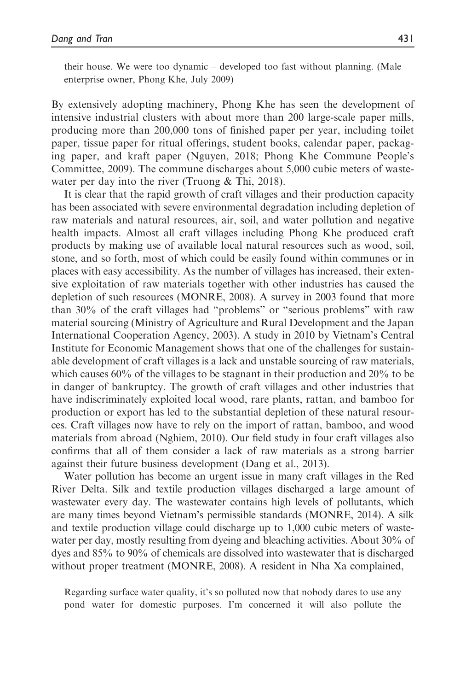their house. We were too dynamic – developed too fast without planning. (Male enterprise owner, Phong Khe, July 2009)

By extensively adopting machinery, Phong Khe has seen the development of intensive industrial clusters with about more than 200 large-scale paper mills, producing more than 200,000 tons of finished paper per year, including toilet paper, tissue paper for ritual offerings, student books, calendar paper, packaging paper, and kraft paper (Nguyen, 2018; Phong Khe Commune People's Committee, 2009). The commune discharges about 5,000 cubic meters of wastewater per day into the river (Truong & Thi, 2018).

It is clear that the rapid growth of craft villages and their production capacity has been associated with severe environmental degradation including depletion of raw materials and natural resources, air, soil, and water pollution and negative health impacts. Almost all craft villages including Phong Khe produced craft products by making use of available local natural resources such as wood, soil, stone, and so forth, most of which could be easily found within communes or in places with easy accessibility. As the number of villages has increased, their extensive exploitation of raw materials together with other industries has caused the depletion of such resources (MONRE, 2008). A survey in 2003 found that more than 30% of the craft villages had "problems" or "serious problems" with raw material sourcing (Ministry of Agriculture and Rural Development and the Japan International Cooperation Agency, 2003). A study in 2010 by Vietnam's Central Institute for Economic Management shows that one of the challenges for sustainable development of craft villages is a lack and unstable sourcing of raw materials, which causes 60% of the villages to be stagnant in their production and 20% to be in danger of bankruptcy. The growth of craft villages and other industries that have indiscriminately exploited local wood, rare plants, rattan, and bamboo for production or export has led to the substantial depletion of these natural resources. Craft villages now have to rely on the import of rattan, bamboo, and wood materials from abroad (Nghiem, 2010). Our field study in four craft villages also confirms that all of them consider a lack of raw materials as a strong barrier against their future business development (Dang et al., 2013).

Water pollution has become an urgent issue in many craft villages in the Red River Delta. Silk and textile production villages discharged a large amount of wastewater every day. The wastewater contains high levels of pollutants, which are many times beyond Vietnam's permissible standards (MONRE, 2014). A silk and textile production village could discharge up to 1,000 cubic meters of wastewater per day, mostly resulting from dyeing and bleaching activities. About 30% of dyes and 85% to 90% of chemicals are dissolved into wastewater that is discharged without proper treatment (MONRE, 2008). A resident in Nha Xa complained,

Regarding surface water quality, it's so polluted now that nobody dares to use any pond water for domestic purposes. I'm concerned it will also pollute the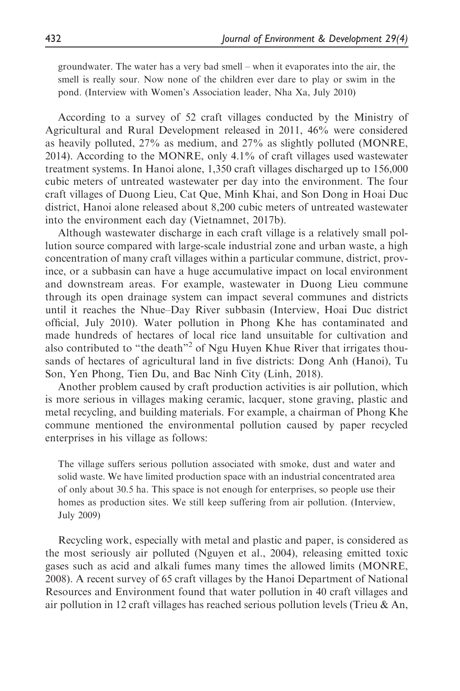groundwater. The water has a very bad smell – when it evaporates into the air, the smell is really sour. Now none of the children ever dare to play or swim in the pond. (Interview with Women's Association leader, Nha Xa, July 2010)

According to a survey of 52 craft villages conducted by the Ministry of Agricultural and Rural Development released in 2011, 46% were considered as heavily polluted, 27% as medium, and 27% as slightly polluted (MONRE, 2014). According to the MONRE, only 4.1% of craft villages used wastewater treatment systems. In Hanoi alone, 1,350 craft villages discharged up to 156,000 cubic meters of untreated wastewater per day into the environment. The four craft villages of Duong Lieu, Cat Que, Minh Khai, and Son Dong in Hoai Duc district, Hanoi alone released about 8,200 cubic meters of untreated wastewater into the environment each day (Vietnamnet, 2017b).

Although wastewater discharge in each craft village is a relatively small pollution source compared with large-scale industrial zone and urban waste, a high concentration of many craft villages within a particular commune, district, province, or a subbasin can have a huge accumulative impact on local environment and downstream areas. For example, wastewater in Duong Lieu commune through its open drainage system can impact several communes and districts until it reaches the Nhue–Day River subbasin (Interview, Hoai Duc district official, July 2010). Water pollution in Phong Khe has contaminated and made hundreds of hectares of local rice land unsuitable for cultivation and also contributed to "the death"<sup>2</sup> of Ngu Huyen Khue River that irrigates thousands of hectares of agricultural land in five districts: Dong Anh (Hanoi), Tu Son, Yen Phong, Tien Du, and Bac Ninh City (Linh, 2018).

Another problem caused by craft production activities is air pollution, which is more serious in villages making ceramic, lacquer, stone graving, plastic and metal recycling, and building materials. For example, a chairman of Phong Khe commune mentioned the environmental pollution caused by paper recycled enterprises in his village as follows:

The village suffers serious pollution associated with smoke, dust and water and solid waste. We have limited production space with an industrial concentrated area of only about 30.5 ha. This space is not enough for enterprises, so people use their homes as production sites. We still keep suffering from air pollution. (Interview, July 2009)

Recycling work, especially with metal and plastic and paper, is considered as the most seriously air polluted (Nguyen et al., 2004), releasing emitted toxic gases such as acid and alkali fumes many times the allowed limits (MONRE, 2008). A recent survey of 65 craft villages by the Hanoi Department of National Resources and Environment found that water pollution in 40 craft villages and air pollution in 12 craft villages has reached serious pollution levels (Trieu & An,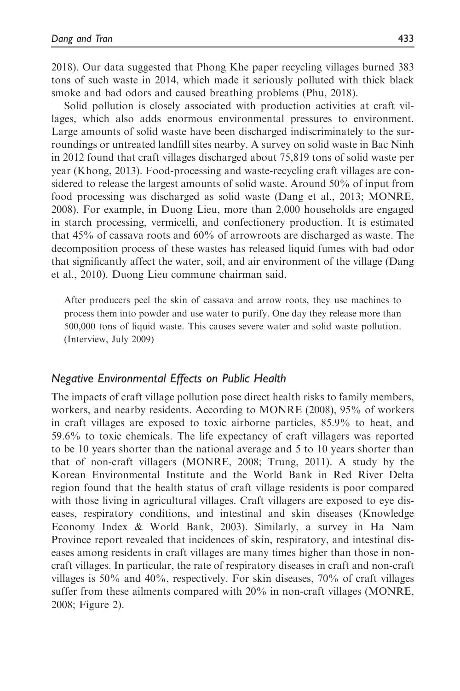2018). Our data suggested that Phong Khe paper recycling villages burned 383 tons of such waste in 2014, which made it seriously polluted with thick black smoke and bad odors and caused breathing problems (Phu, 2018).

Solid pollution is closely associated with production activities at craft villages, which also adds enormous environmental pressures to environment. Large amounts of solid waste have been discharged indiscriminately to the surroundings or untreated landfill sites nearby. A survey on solid waste in Bac Ninh in 2012 found that craft villages discharged about 75,819 tons of solid waste per year (Khong, 2013). Food-processing and waste-recycling craft villages are considered to release the largest amounts of solid waste. Around 50% of input from food processing was discharged as solid waste (Dang et al., 2013; MONRE, 2008). For example, in Duong Lieu, more than 2,000 households are engaged in starch processing, vermicelli, and confectionery production. It is estimated that 45% of cassava roots and 60% of arrowroots are discharged as waste. The decomposition process of these wastes has released liquid fumes with bad odor that significantly affect the water, soil, and air environment of the village (Dang et al., 2010). Duong Lieu commune chairman said,

After producers peel the skin of cassava and arrow roots, they use machines to process them into powder and use water to purify. One day they release more than 500,000 tons of liquid waste. This causes severe water and solid waste pollution. (Interview, July 2009)

#### Negative Environmental Effects on Public Health

The impacts of craft village pollution pose direct health risks to family members, workers, and nearby residents. According to MONRE (2008), 95% of workers in craft villages are exposed to toxic airborne particles, 85.9% to heat, and 59.6% to toxic chemicals. The life expectancy of craft villagers was reported to be 10 years shorter than the national average and 5 to 10 years shorter than that of non-craft villagers (MONRE, 2008; Trung, 2011). A study by the Korean Environmental Institute and the World Bank in Red River Delta region found that the health status of craft village residents is poor compared with those living in agricultural villages. Craft villagers are exposed to eye diseases, respiratory conditions, and intestinal and skin diseases (Knowledge Economy Index & World Bank, 2003). Similarly, a survey in Ha Nam Province report revealed that incidences of skin, respiratory, and intestinal diseases among residents in craft villages are many times higher than those in noncraft villages. In particular, the rate of respiratory diseases in craft and non-craft villages is 50% and 40%, respectively. For skin diseases, 70% of craft villages suffer from these ailments compared with 20% in non-craft villages (MONRE, 2008; Figure 2).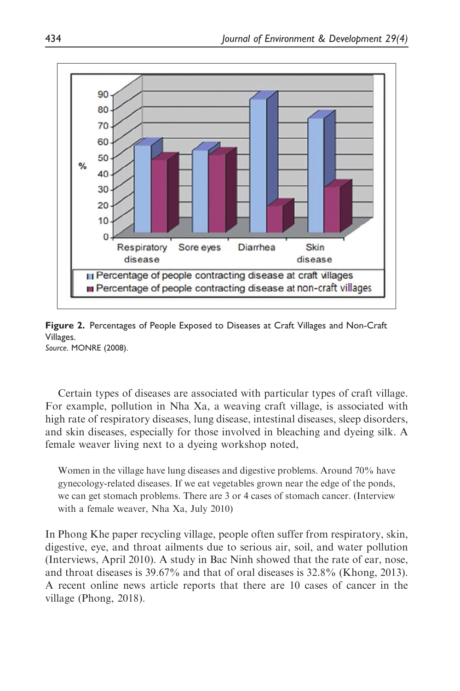

Figure 2. Percentages of People Exposed to Diseases at Craft Villages and Non-Craft Villages. Source. MONRE (2008).

Certain types of diseases are associated with particular types of craft village. For example, pollution in Nha Xa, a weaving craft village, is associated with high rate of respiratory diseases, lung disease, intestinal diseases, sleep disorders, and skin diseases, especially for those involved in bleaching and dyeing silk. A female weaver living next to a dyeing workshop noted,

Women in the village have lung diseases and digestive problems. Around 70% have gynecology-related diseases. If we eat vegetables grown near the edge of the ponds, we can get stomach problems. There are 3 or 4 cases of stomach cancer. (Interview with a female weaver, Nha Xa, July 2010)

In Phong Khe paper recycling village, people often suffer from respiratory, skin, digestive, eye, and throat ailments due to serious air, soil, and water pollution (Interviews, April 2010). A study in Bac Ninh showed that the rate of ear, nose, and throat diseases is 39.67% and that of oral diseases is 32.8% (Khong, 2013). A recent online news article reports that there are 10 cases of cancer in the village (Phong, 2018).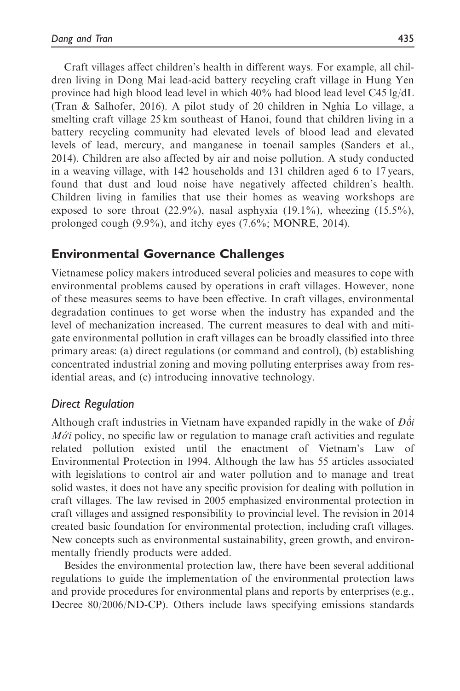Craft villages affect children's health in different ways. For example, all children living in Dong Mai lead-acid battery recycling craft village in Hung Yen province had high blood lead level in which 40% had blood lead level C45 lg/dL (Tran & Salhofer, 2016). A pilot study of 20 children in Nghia Lo village, a smelting craft village 25 km southeast of Hanoi, found that children living in a battery recycling community had elevated levels of blood lead and elevated levels of lead, mercury, and manganese in toenail samples (Sanders et al., 2014). Children are also affected by air and noise pollution. A study conducted in a weaving village, with 142 households and 131 children aged 6 to 17 years, found that dust and loud noise have negatively affected children's health. Children living in families that use their homes as weaving workshops are exposed to sore throat  $(22.9\%)$ , nasal asphyxia  $(19.1\%)$ , wheezing  $(15.5\%)$ , prolonged cough (9.9%), and itchy eyes (7.6%; MONRE, 2014).

# Environmental Governance Challenges

Vietnamese policy makers introduced several policies and measures to cope with environmental problems caused by operations in craft villages. However, none of these measures seems to have been effective. In craft villages, environmental degradation continues to get worse when the industry has expanded and the level of mechanization increased. The current measures to deal with and mitigate environmental pollution in craft villages can be broadly classified into three primary areas: (a) direct regulations (or command and control), (b) establishing concentrated industrial zoning and moving polluting enterprises away from residential areas, and (c) introducing innovative technology.

## Direct Regulation

Although craft industries in Vietnam have expanded rapidly in the wake of  $D\delta i$  $M\acute{o}i$  policy, no specific law or regulation to manage craft activities and regulate related pollution existed until the enactment of Vietnam's Law of Environmental Protection in 1994. Although the law has 55 articles associated with legislations to control air and water pollution and to manage and treat solid wastes, it does not have any specific provision for dealing with pollution in craft villages. The law revised in 2005 emphasized environmental protection in craft villages and assigned responsibility to provincial level. The revision in 2014 created basic foundation for environmental protection, including craft villages. New concepts such as environmental sustainability, green growth, and environmentally friendly products were added.

Besides the environmental protection law, there have been several additional regulations to guide the implementation of the environmental protection laws and provide procedures for environmental plans and reports by enterprises (e.g., Decree 80/2006/ND-CP). Others include laws specifying emissions standards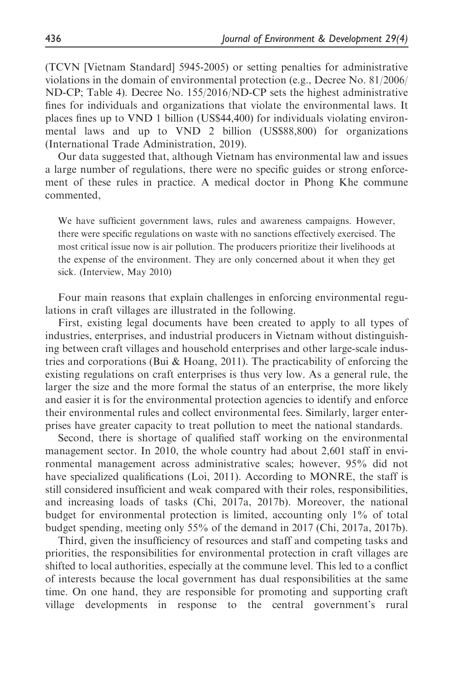(TCVN [Vietnam Standard] 5945-2005) or setting penalties for administrative violations in the domain of environmental protection (e.g., Decree No. 81/2006/ ND-CP; Table 4). Decree No. 155/2016/ND-CP sets the highest administrative fines for individuals and organizations that violate the environmental laws. It places fines up to VND 1 billion (US\$44,400) for individuals violating environmental laws and up to VND 2 billion (US\$88,800) for organizations (International Trade Administration, 2019).

Our data suggested that, although Vietnam has environmental law and issues a large number of regulations, there were no specific guides or strong enforcement of these rules in practice. A medical doctor in Phong Khe commune commented,

We have sufficient government laws, rules and awareness campaigns. However, there were specific regulations on waste with no sanctions effectively exercised. The most critical issue now is air pollution. The producers prioritize their livelihoods at the expense of the environment. They are only concerned about it when they get sick. (Interview, May 2010)

Four main reasons that explain challenges in enforcing environmental regulations in craft villages are illustrated in the following.

First, existing legal documents have been created to apply to all types of industries, enterprises, and industrial producers in Vietnam without distinguishing between craft villages and household enterprises and other large-scale industries and corporations (Bui & Hoang, 2011). The practicability of enforcing the existing regulations on craft enterprises is thus very low. As a general rule, the larger the size and the more formal the status of an enterprise, the more likely and easier it is for the environmental protection agencies to identify and enforce their environmental rules and collect environmental fees. Similarly, larger enterprises have greater capacity to treat pollution to meet the national standards.

Second, there is shortage of qualified staff working on the environmental management sector. In 2010, the whole country had about 2,601 staff in environmental management across administrative scales; however, 95% did not have specialized qualifications (Loi, 2011). According to MONRE, the staff is still considered insufficient and weak compared with their roles, responsibilities, and increasing loads of tasks (Chi, 2017a, 2017b). Moreover, the national budget for environmental protection is limited, accounting only 1% of total budget spending, meeting only 55% of the demand in 2017 (Chi, 2017a, 2017b).

Third, given the insufficiency of resources and staff and competing tasks and priorities, the responsibilities for environmental protection in craft villages are shifted to local authorities, especially at the commune level. This led to a conflict of interests because the local government has dual responsibilities at the same time. On one hand, they are responsible for promoting and supporting craft village developments in response to the central government's rural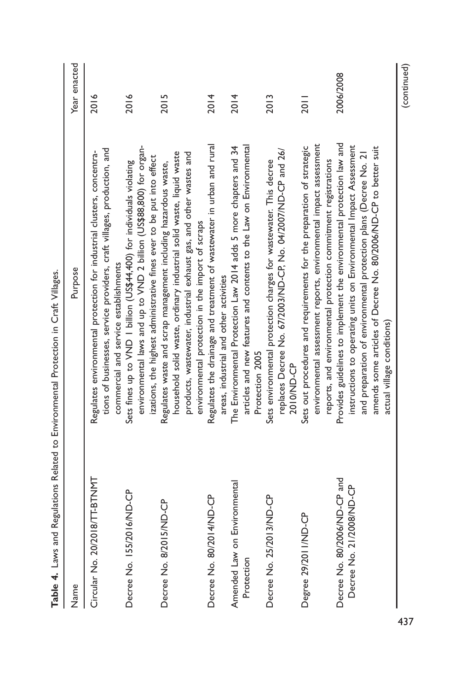|                                                          | Table 4. Laws and Regulations Related to Environmental Protection in Craft Villages.                                                                                                                                                                                                                             |              |
|----------------------------------------------------------|------------------------------------------------------------------------------------------------------------------------------------------------------------------------------------------------------------------------------------------------------------------------------------------------------------------|--------------|
| Name                                                     | Purpose                                                                                                                                                                                                                                                                                                          | Year enacted |
| Circular No. 20/2018/TT-BTNMT                            | tions of businesses, service providers, craft villages, production, and<br>Regulates environmental protection for industrial clusters, concentra-<br>commercial and service establishments                                                                                                                       | 2016         |
| Decree No. 155/2016/ND-CP                                | environmental laws and up to VND 2 billion (US\$88,800) for organ-<br>izations, the highest administrative fines ever to be put into effect<br>Sets fines up to VND   billion (US\$44,400) for individuals violating                                                                                             | 2016         |
| 5/ND-CP<br>Decree No. 8/20                               | household solid waste, ordinary industrial solid waste, liquid waste<br>products, wastewater, industrial exhaust gas, and other wastes and<br>Regulates waste and scrap management including hazardous waste,<br>environmental protection in the import of scraps                                                | 2015         |
| Decree No. 80/2014/ND-CP                                 | Regulates the drainage and treatment of wastewater in urban and rural<br>areas, industrial and other activities                                                                                                                                                                                                  | 2014         |
| Environmental<br>Amended Law on<br>Protection            | articles and new features and contents to the Law on Environmental<br>The Environmental Protection Law 2014 adds 5 more chapters and 34<br>Protection 2005                                                                                                                                                       | 2014         |
| 13/ND-CP<br>Decree No. 25/20                             | replaces Decree No. 67/2003/ND-CP, No. 04/2007/ND-CP and 26/<br>Sets environmental protection charges for wastewater. This decree<br>2010/ND-CP                                                                                                                                                                  | 2013         |
| Degree 29/2011/ND-CP                                     | environmental assessment reports, environmental impact assessment<br>Sets out procedures and requirements for the preparation of strategic<br>reports, and environmental protection commitment registrations                                                                                                     | 2011         |
| Decree No. 80/2006/ND-CP and<br>Decree No. 21/2008/ND-CP | Provides guidelines to implement the environmental protection law and<br>instructions to operating units on Environmental Impact Assessment<br>amends some articles of Decree No. 80/2006/ND-CP to better suit<br>and preparation of environmental protection plans (Decree No. 21<br>actual village conditions) | 2006/2008    |
|                                                          |                                                                                                                                                                                                                                                                                                                  | (continued)  |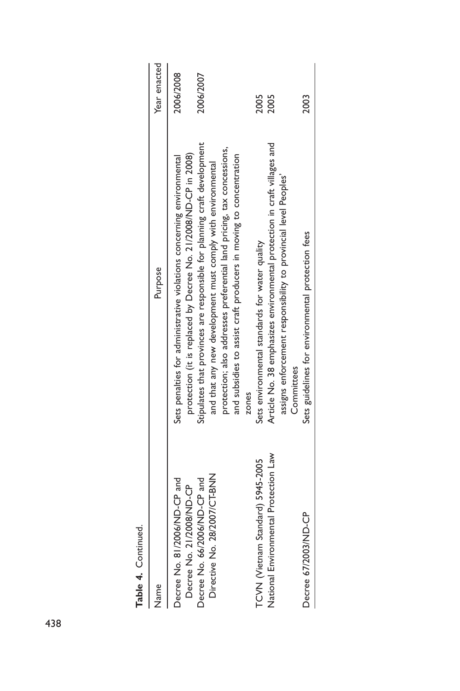| iPaninini):F airrati                                         |                                                                                                                                              |              |
|--------------------------------------------------------------|----------------------------------------------------------------------------------------------------------------------------------------------|--------------|
| Name                                                         | Purpose                                                                                                                                      | Year enacted |
| Decree No. 81/2006/ND-CP and<br>Decree No. 21/2008/ND-CP     | protection (it is replaced by Decree No. 21/2008/ND-CP in 2008)<br>Sets penalties for administrative violations concerning environmental     | 2006/2008    |
| Directive No. 28/2007/CT-BNN<br>Decree No. 66/2006/ND-CP and | Stipulates that provinces are responsible for planning craft development<br>and that any new development must comply with environmental      | 2006/2007    |
|                                                              | protection; also addresses preferential land pricing, tax concessions,<br>and subsidies to assist craft producers in moving to concentration |              |
| TCVN (Vietnam Standard) 5945-2005                            | Sets environmental standards for water quality<br>zones                                                                                      | 2005         |
| National Environmental Protection Law                        | Article No. 38 emphasizes environmental protection in craft villages and                                                                     | 2005         |
|                                                              | assigns enforcement responsibility to provincial level Peoples'<br>Committees                                                                |              |
| Decree 67/2003/ND-CP                                         | Sets guidelines for environmental protection fees                                                                                            | 2003         |
|                                                              |                                                                                                                                              |              |

Table 4. Continued. Table 4. Continued.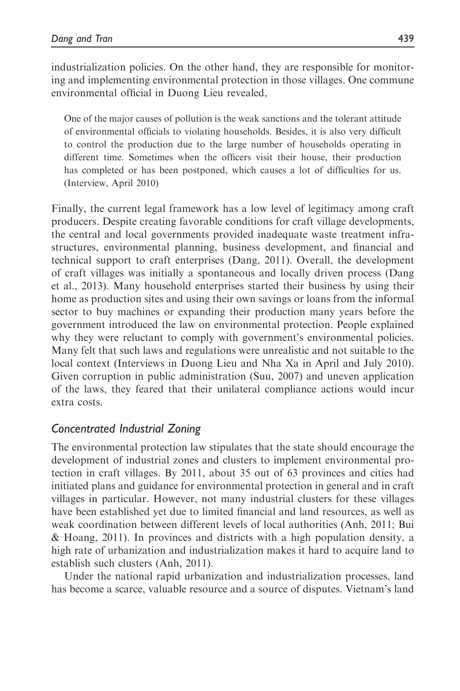industrialization policies. On the other hand, they are responsible for monitoring and implementing environmental protection in those villages. One commune environmental official in Duong Lieu revealed,

One of the major causes of pollution is the weak sanctions and the tolerant attitude of environmental officials to violating households. Besides, it is also very difficult to control the production due to the large number of households operating in different time. Sometimes when the officers visit their house, their production has completed or has been postponed, which causes a lot of difficulties for us. (Interview, April 2010)

Finally, the current legal framework has a low level of legitimacy among craft producers. Despite creating favorable conditions for craft village developments, the central and local governments provided inadequate waste treatment infrastructures, environmental planning, business development, and financial and technical support to craft enterprises (Dang, 2011). Overall, the development of craft villages was initially a spontaneous and locally driven process (Dang et al., 2013). Many household enterprises started their business by using their home as production sites and using their own savings or loans from the informal sector to buy machines or expanding their production many years before the government introduced the law on environmental protection. People explained why they were reluctant to comply with government's environmental policies. Many felt that such laws and regulations were unrealistic and not suitable to the local context (Interviews in Duong Lieu and Nha Xa in April and July 2010). Given corruption in public administration (Suu, 2007) and uneven application of the laws, they feared that their unilateral compliance actions would incur extra costs.

# Concentrated Industrial Zoning

The environmental protection law stipulates that the state should encourage the development of industrial zones and clusters to implement environmental protection in craft villages. By 2011, about 35 out of 63 provinces and cities had initiated plans and guidance for environmental protection in general and in craft villages in particular. However, not many industrial clusters for these villages have been established yet due to limited financial and land resources, as well as weak coordination between different levels of local authorities (Anh, 2011; Bui & Hoang, 2011). In provinces and districts with a high population density, a high rate of urbanization and industrialization makes it hard to acquire land to establish such clusters (Anh, 2011).

Under the national rapid urbanization and industrialization processes, land has become a scarce, valuable resource and a source of disputes. Vietnam's land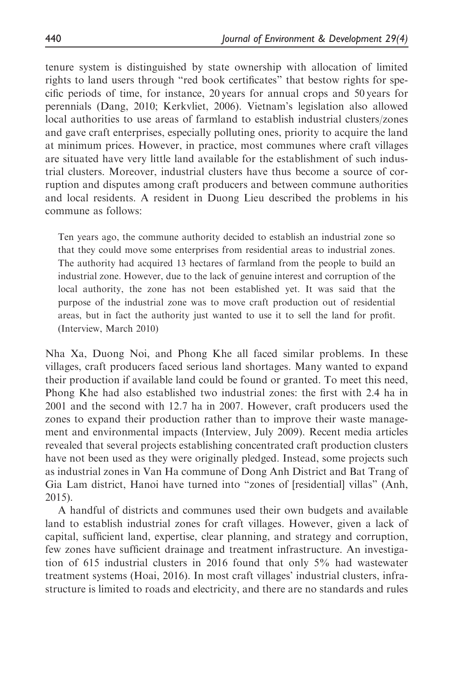tenure system is distinguished by state ownership with allocation of limited rights to land users through "red book certificates" that bestow rights for specific periods of time, for instance, 20 years for annual crops and 50 years for perennials (Dang, 2010; Kerkvliet, 2006). Vietnam's legislation also allowed local authorities to use areas of farmland to establish industrial clusters/zones and gave craft enterprises, especially polluting ones, priority to acquire the land at minimum prices. However, in practice, most communes where craft villages are situated have very little land available for the establishment of such industrial clusters. Moreover, industrial clusters have thus become a source of corruption and disputes among craft producers and between commune authorities and local residents. A resident in Duong Lieu described the problems in his commune as follows:

Ten years ago, the commune authority decided to establish an industrial zone so that they could move some enterprises from residential areas to industrial zones. The authority had acquired 13 hectares of farmland from the people to build an industrial zone. However, due to the lack of genuine interest and corruption of the local authority, the zone has not been established yet. It was said that the purpose of the industrial zone was to move craft production out of residential areas, but in fact the authority just wanted to use it to sell the land for profit. (Interview, March 2010)

Nha Xa, Duong Noi, and Phong Khe all faced similar problems. In these villages, craft producers faced serious land shortages. Many wanted to expand their production if available land could be found or granted. To meet this need, Phong Khe had also established two industrial zones: the first with 2.4 ha in 2001 and the second with 12.7 ha in 2007. However, craft producers used the zones to expand their production rather than to improve their waste management and environmental impacts (Interview, July 2009). Recent media articles revealed that several projects establishing concentrated craft production clusters have not been used as they were originally pledged. Instead, some projects such as industrial zones in Van Ha commune of Dong Anh District and Bat Trang of Gia Lam district, Hanoi have turned into "zones of [residential] villas" (Anh, 2015).

A handful of districts and communes used their own budgets and available land to establish industrial zones for craft villages. However, given a lack of capital, sufficient land, expertise, clear planning, and strategy and corruption, few zones have sufficient drainage and treatment infrastructure. An investigation of 615 industrial clusters in 2016 found that only 5% had wastewater treatment systems (Hoai, 2016). In most craft villages' industrial clusters, infrastructure is limited to roads and electricity, and there are no standards and rules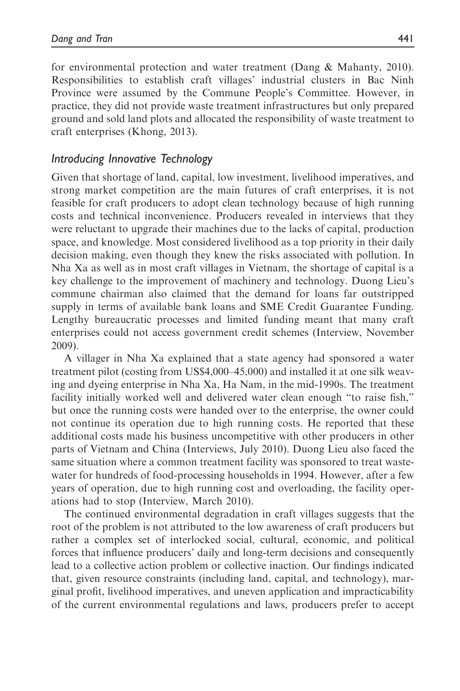for environmental protection and water treatment (Dang & Mahanty, 2010). Responsibilities to establish craft villages' industrial clusters in Bac Ninh Province were assumed by the Commune People's Committee. However, in practice, they did not provide waste treatment infrastructures but only prepared ground and sold land plots and allocated the responsibility of waste treatment to craft enterprises (Khong, 2013).

### Introducing Innovative Technology

Given that shortage of land, capital, low investment, livelihood imperatives, and strong market competition are the main futures of craft enterprises, it is not feasible for craft producers to adopt clean technology because of high running costs and technical inconvenience. Producers revealed in interviews that they were reluctant to upgrade their machines due to the lacks of capital, production space, and knowledge. Most considered livelihood as a top priority in their daily decision making, even though they knew the risks associated with pollution. In Nha Xa as well as in most craft villages in Vietnam, the shortage of capital is a key challenge to the improvement of machinery and technology. Duong Lieu's commune chairman also claimed that the demand for loans far outstripped supply in terms of available bank loans and SME Credit Guarantee Funding. Lengthy bureaucratic processes and limited funding meant that many craft enterprises could not access government credit schemes (Interview, November 2009).

A villager in Nha Xa explained that a state agency had sponsored a water treatment pilot (costing from US\$4,000–45,000) and installed it at one silk weaving and dyeing enterprise in Nha Xa, Ha Nam, in the mid-1990s. The treatment facility initially worked well and delivered water clean enough "to raise fish," but once the running costs were handed over to the enterprise, the owner could not continue its operation due to high running costs. He reported that these additional costs made his business uncompetitive with other producers in other parts of Vietnam and China (Interviews, July 2010). Duong Lieu also faced the same situation where a common treatment facility was sponsored to treat wastewater for hundreds of food-processing households in 1994. However, after a few years of operation, due to high running cost and overloading, the facility operations had to stop (Interview, March 2010).

The continued environmental degradation in craft villages suggests that the root of the problem is not attributed to the low awareness of craft producers but rather a complex set of interlocked social, cultural, economic, and political forces that influence producers' daily and long-term decisions and consequently lead to a collective action problem or collective inaction. Our findings indicated that, given resource constraints (including land, capital, and technology), marginal profit, livelihood imperatives, and uneven application and impracticability of the current environmental regulations and laws, producers prefer to accept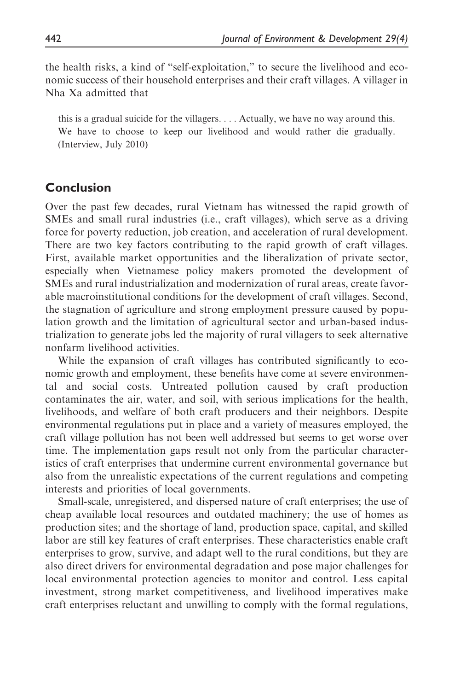the health risks, a kind of "self-exploitation," to secure the livelihood and economic success of their household enterprises and their craft villages. A villager in Nha Xa admitted that

this is a gradual suicide for the villagers. . . . Actually, we have no way around this. We have to choose to keep our livelihood and would rather die gradually. (Interview, July 2010)

## Conclusion

Over the past few decades, rural Vietnam has witnessed the rapid growth of SMEs and small rural industries (i.e., craft villages), which serve as a driving force for poverty reduction, job creation, and acceleration of rural development. There are two key factors contributing to the rapid growth of craft villages. First, available market opportunities and the liberalization of private sector, especially when Vietnamese policy makers promoted the development of SMEs and rural industrialization and modernization of rural areas, create favorable macroinstitutional conditions for the development of craft villages. Second, the stagnation of agriculture and strong employment pressure caused by population growth and the limitation of agricultural sector and urban-based industrialization to generate jobs led the majority of rural villagers to seek alternative nonfarm livelihood activities.

While the expansion of craft villages has contributed significantly to economic growth and employment, these benefits have come at severe environmental and social costs. Untreated pollution caused by craft production contaminates the air, water, and soil, with serious implications for the health, livelihoods, and welfare of both craft producers and their neighbors. Despite environmental regulations put in place and a variety of measures employed, the craft village pollution has not been well addressed but seems to get worse over time. The implementation gaps result not only from the particular characteristics of craft enterprises that undermine current environmental governance but also from the unrealistic expectations of the current regulations and competing interests and priorities of local governments.

Small-scale, unregistered, and dispersed nature of craft enterprises; the use of cheap available local resources and outdated machinery; the use of homes as production sites; and the shortage of land, production space, capital, and skilled labor are still key features of craft enterprises. These characteristics enable craft enterprises to grow, survive, and adapt well to the rural conditions, but they are also direct drivers for environmental degradation and pose major challenges for local environmental protection agencies to monitor and control. Less capital investment, strong market competitiveness, and livelihood imperatives make craft enterprises reluctant and unwilling to comply with the formal regulations,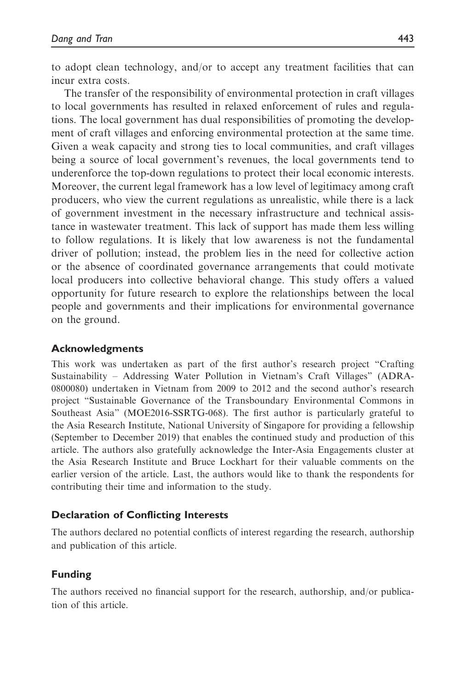to adopt clean technology, and/or to accept any treatment facilities that can incur extra costs.

The transfer of the responsibility of environmental protection in craft villages to local governments has resulted in relaxed enforcement of rules and regulations. The local government has dual responsibilities of promoting the development of craft villages and enforcing environmental protection at the same time. Given a weak capacity and strong ties to local communities, and craft villages being a source of local government's revenues, the local governments tend to underenforce the top-down regulations to protect their local economic interests. Moreover, the current legal framework has a low level of legitimacy among craft producers, who view the current regulations as unrealistic, while there is a lack of government investment in the necessary infrastructure and technical assistance in wastewater treatment. This lack of support has made them less willing to follow regulations. It is likely that low awareness is not the fundamental driver of pollution; instead, the problem lies in the need for collective action or the absence of coordinated governance arrangements that could motivate local producers into collective behavioral change. This study offers a valued opportunity for future research to explore the relationships between the local people and governments and their implications for environmental governance on the ground.

### Acknowledgments

This work was undertaken as part of the first author's research project "Crafting Sustainability – Addressing Water Pollution in Vietnam's Craft Villages" (ADRA-0800080) undertaken in Vietnam from 2009 to 2012 and the second author's research project "Sustainable Governance of the Transboundary Environmental Commons in Southeast Asia" (MOE2016-SSRTG-068). The first author is particularly grateful to the Asia Research Institute, National University of Singapore for providing a fellowship (September to December 2019) that enables the continued study and production of this article. The authors also gratefully acknowledge the Inter-Asia Engagements cluster at the Asia Research Institute and Bruce Lockhart for their valuable comments on the earlier version of the article. Last, the authors would like to thank the respondents for contributing their time and information to the study.

#### Declaration of Conflicting Interests

The authors declared no potential conflicts of interest regarding the research, authorship and publication of this article.

#### Funding

The authors received no financial support for the research, authorship, and/or publication of this article.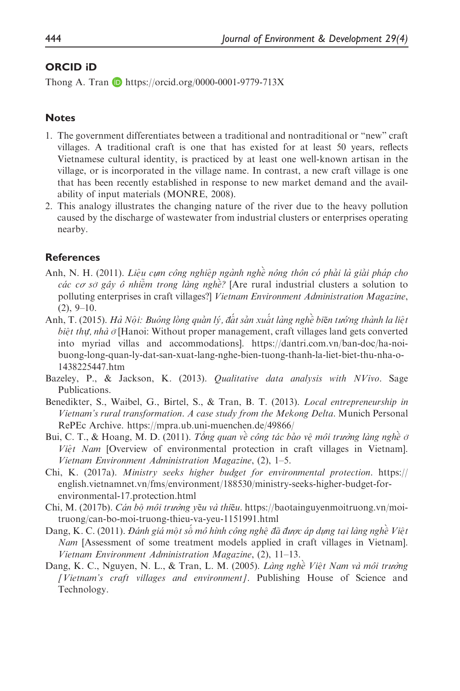#### ORCID iD

Thong A. Tran  $\Box$  <https://orcid.org/0000-0001-9779-713X>

#### **Notes**

- 1. The government differentiates between a traditional and nontraditional or "new" craft villages. A traditional craft is one that has existed for at least 50 years, reflects Vietnamese cultural identity, is practiced by at least one well-known artisan in the village, or is incorporated in the village name. In contrast, a new craft village is one that has been recently established in response to new market demand and the availability of input materials (MONRE, 2008).
- 2. This analogy illustrates the changing nature of the river due to the heavy pollution caused by the discharge of wastewater from industrial clusters or enterprises operating nearby.

#### References

- Anh, N. H. (2011). Liệu cụm công nghiệp ngành nghề nông thôn có phải là giải pháp cho các cơ sở gây ô nhiệm trong làng nghệ? [Are rural industrial clusters a solution to polluting enterprises in craft villages?] Vietnam Environment Administration Magazine,  $(2), 9-10.$
- Anh, T. (2015). Hà Nội: Buông lỏng quản lý, đất sản xuất làng nghề biẽn tướng thành la liệt biệt thự, nhà  $\dot{\sigma}$  [Hanoi: Without proper management, craft villages land gets converted into myriad villas and accommodations]. [https://dantri.com.vn/ban-doc/ha-noi](https://dantri.com.vn/ban-doc/ha-noi-buong-long-quan-ly-dat-san-xuat-lang-nghe-bien-tuong-thanh-la-liet-biet-thu-nha-o-1438225447.htm)[buong-long-quan-ly-dat-san-xuat-lang-nghe-bien-tuong-thanh-la-liet-biet-thu-nha-o-](https://dantri.com.vn/ban-doc/ha-noi-buong-long-quan-ly-dat-san-xuat-lang-nghe-bien-tuong-thanh-la-liet-biet-thu-nha-o-1438225447.htm)[1438225447.htm](https://dantri.com.vn/ban-doc/ha-noi-buong-long-quan-ly-dat-san-xuat-lang-nghe-bien-tuong-thanh-la-liet-biet-thu-nha-o-1438225447.htm)
- Bazeley, P., & Jackson, K. (2013). *Qualitative data analysis with NVivo*. Sage Publications.
- Benedikter, S., Waibel, G., Birtel, S., & Tran, B. T. (2013). Local entrepreneurship in Vietnam's rural transformation. A case study from the Mekong Delta. Munich Personal RePEc Archive.<https://mpra.ub.uni-muenchen.de/49866/>
- Bui, C. T., & Hoang, M. D. (2011). *Tông quan về công tác bảo về môi trường làng nghề ở* Việt Nam [Overview of environmental protection in craft villages in Vietnam]. Vietnam Environment Administration Magazine, (2), 1–5.
- Chi, K. (2017a). Ministry seeks higher budget for environmental protection. [https://](https://english.vietnamnet.vn/fms/environment/188530/ministry-seeks-higher-budget-for-environmental-17.protection.html) [english.vietnamnet.vn/fms/environment/188530/ministry-seeks-higher-budget-for](https://english.vietnamnet.vn/fms/environment/188530/ministry-seeks-higher-budget-for-environmental-17.protection.html)[environmental-17.protection.html](https://english.vietnamnet.vn/fms/environment/188530/ministry-seeks-higher-budget-for-environmental-17.protection.html)
- Chi, M. (2017b). Cán bộ môi trường yếu và thiếu. [https://baotainguyenmoitruong.vn/moi](https://baotainguyenmoitruong.vn/moi-truong/can-bo-moi-truong-thieu-va-yeu-1151991.html)[truong/can-bo-moi-truong-thieu-va-yeu-1151991.html](https://baotainguyenmoitruong.vn/moi-truong/can-bo-moi-truong-thieu-va-yeu-1151991.html)
- Dang, K. C. (2011). Đánh giá một số mô hình công nghệ đã được áp dụng tại làng nghề Việt Nam [Assessment of some treatment models applied in craft villages in Vietnam]. Vietnam Environment Administration Magazine, (2), 11–13.
- Dang, K. C., Nguyen, N. L., & Tran, L. M. (2005). Làng nghề Việt Nam và môi trường [Vietnam's craft villages and environment]. Publishing House of Science and Technology.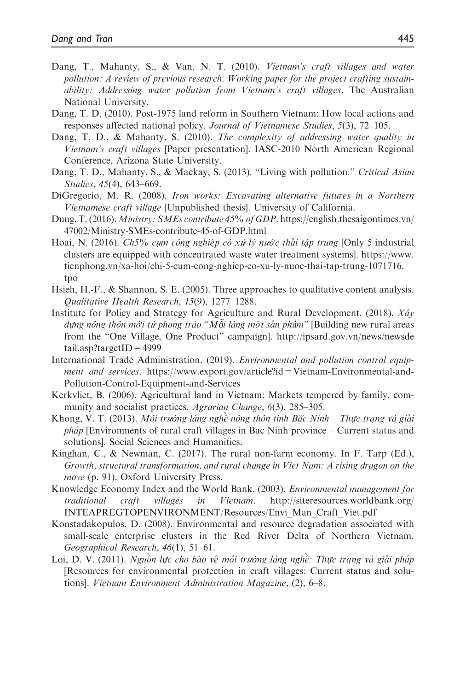- Dang, T., Mahanty, S., & Van, N. T. (2010). Vietnam's craft villages and water pollution: A review of previous research. Working paper for the project crafting sustainability: Addressing water pollution from Vietnam's craft villages. The Australian National University.
- Dang, T. D. (2010). Post-1975 land reform in Southern Vietnam: How local actions and responses affected national policy. Journal of Vietnamese Studies, 5(3), 72–105.
- Dang, T. D., & Mahanty, S. (2010). The complexity of addressing water quality in Vietnam's craft villages [Paper presentation]. IASC-2010 North American Regional Conference, Arizona State University.
- Dang, T. D., Mahanty, S., & Mackay, S. (2013). "Living with pollution." Critical Asian Studies, 45(4), 643–669.
- DiGregorio, M. R. (2008). Iron works: Excavating alternative futures in a Northern Vietnamese craft village [Unpublished thesis]. University of California.
- Dung, T. (2016). Ministry: SMEs contribute 45% of GDP. [https://english.thesaigontimes.vn/](https://english.thesaigontimes.vn/47002/Ministry-SMEs-contribute-45-of-GDP.html) [47002/Ministry-SMEs-contribute-45-of-GDP.html](https://english.thesaigontimes.vn/47002/Ministry-SMEs-contribute-45-of-GDP.html)
- Hoai, N. (2016). Ch5% cụm công nghiệp có xử lý nước thải tập trung [Only 5 industrial clusters are equipped with concentrated waste water treatment systems]. [https://www.](https://www.tienphong.vn/xa-hoi/chi-5-cum-cong-nghiep-co-xu-ly-nuoc-thai-tap-trung-1071716.tpo) [tienphong.vn/xa-hoi/chi-5-cum-cong-nghiep-co-xu-ly-nuoc-thai-tap-trung-1071716.](https://www.tienphong.vn/xa-hoi/chi-5-cum-cong-nghiep-co-xu-ly-nuoc-thai-tap-trung-1071716.tpo) [tpo](https://www.tienphong.vn/xa-hoi/chi-5-cum-cong-nghiep-co-xu-ly-nuoc-thai-tap-trung-1071716.tpo)
- Hsieh, H.-F., & Shannon, S. E. (2005). Three approaches to qualitative content analysis. Qualitative Health Research, 15(9), 1277–1288.
- Institute for Policy and Strategy for Agriculture and Rural Development. (2018).  $X \hat{a}y$ dựng nông thôn mới từ phong trào " $M$ ỗi làng một sản phẩm" [Building new rural areas from the "One Village, One Product" campaign]. [http://ipsard.gov.vn/news/newsde](http://ipsard.gov.vn/news/newsdetail.asp?targetID=4999)  $tail.$ asp?targetID = 4999
- International Trade Administration. (2019). Environmental and pollution control equipment and services. [https://www.export.gov/article?id=Vietnam-Environmental-and-](https://www.export.gov/article?id=Vietnam-Environmental-and-Pollution-Control-Equipment-and-Services)[Pollution-Control-Equipment-and-Services](https://www.export.gov/article?id=Vietnam-Environmental-and-Pollution-Control-Equipment-and-Services)
- Kerkvliet, B. (2006). Agricultural land in Vietnam: Markets tempered by family, community and socialist practices. Agrarian Change, 6(3), 285–305.
- Khong, V. T. (2013). Môi trường làng nghề nông thôn tinh Bắc Ninh Thực trạng và giải *pháp* [Environments of rural craft villages in Bac Ninh province – Current status and solutions]. Social Sciences and Humanities.
- Kinghan, C., & Newman, C. (2017). The rural non-farm economy. In F. Tarp (Ed.), Growth, structural transformation, and rural change in Viet Nam: A rising dragon on the move (p. 91). Oxford University Press.
- Knowledge Economy Index and the World Bank. (2003). Environmental management for traditional craft villages in Vietnam. [http://siteresources.worldbank.org/](http://siteresources.worldbank.org/INTEAPREGTOPENVIRONMENT/Resources/Envi_Man_Craft_Viet.pdf) [INTEAPREGTOPENVIRONMENT/Resources/Envi\\_Man\\_Craft\\_Viet.pdf](http://siteresources.worldbank.org/INTEAPREGTOPENVIRONMENT/Resources/Envi_Man_Craft_Viet.pdf)
- Konstadakopulos, D. (2008). Environmental and resource degradation associated with small-scale enterprise clusters in the Red River Delta of Northern Vietnam. Geographical Research, 46(1), 51–61.
- Loi, D. V. (2011). Nguồn lực cho bảo vệ môi trường làng nghề: Thực trạng và giải pháp [Resources for environmental protection in craft villages: Current status and solutions]. Vietnam Environment Administration Magazine, (2), 6–8.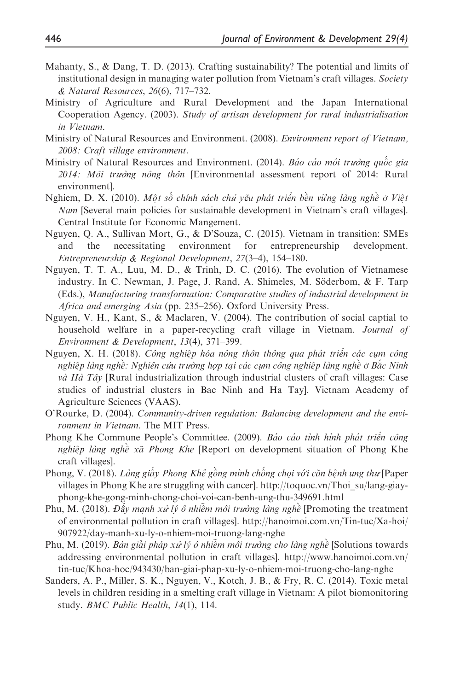- Mahanty, S., & Dang, T. D. (2013). Crafting sustainability? The potential and limits of institutional design in managing water pollution from Vietnam's craft villages. Society & Natural Resources, 26(6), 717–732.
- Ministry of Agriculture and Rural Development and the Japan International Cooperation Agency. (2003). Study of artisan development for rural industrialisation in Vietnam.
- Ministry of Natural Resources and Environment. (2008). Environment report of Vietnam, 2008: Craft village environment.
- Ministry of Natural Resources and Environment. (2014). Báo cáo môi trường quốc gia  $2014$ : Môi trường nông thôn [Environmental assessment report of 2014: Rural environment].
- Nghiem, D. X. (2010). Một số chính sách chủ yẽu phát triển bền vững làng nghề ở Việt Nam [Several main policies for sustainable development in Vietnam's craft villages]. Central Institute for Economic Mangement.
- Nguyen, Q. A., Sullivan Mort, G., & D'Souza, C. (2015). Vietnam in transition: SMEs and the necessitating environment for entrepreneurship development. Entrepreneurship & Regional Development, 27(3–4), 154–180.
- Nguyen, T. T. A., Luu, M. D., & Trinh, D. C. (2016). The evolution of Vietnamese industry. In C. Newman, J. Page, J. Rand, A. Shimeles, M. Söderbom,  $\&$  F. Tarp (Eds.), Manufacturing transformation: Comparative studies of industrial development in Africa and emerging Asia (pp. 235–256). Oxford University Press.
- Nguyen, V. H., Kant, S., & Maclaren, V. (2004). The contribution of social captial to household welfare in a paper-recycling craft village in Vietnam. Journal of Environment & Development, 13(4), 371–399.
- Nguyen, X. H. (2018). Công nghiệp hóa nông thôn thông qua phát triển các cụm công nghiệp làng nghề: Nghiên cứu trường hợp tại các cụm công nghiệp làng nghề ở Bắc Ninh *và Hà Tây* [Rural industrialization through industrial clusters of craft villages: Case studies of industrial clusters in Bac Ninh and Ha Tay]. Vietnam Academy of Agriculture Sciences (VAAS).
- O'Rourke, D. (2004). Community-driven regulation: Balancing development and the environment in Vietnam. The MIT Press.
- Phong Khe Commune People's Committee. (2009). Báo cáo tình hình phát triển công nghiệp làng nghề xã Phong Khe [Report on development situation of Phong Khe craft villages].
- Phong, V. (2018). *Làng giấy Phong Khê gồng mình chống chọi với căn bệnh ung thư* [Paper<br>villages in Phong K be are struggling with cancerl, http://toguog.yn/Thoi.su/lang.giay. villages in Phong Khe are struggling with cancer]. [http://toquoc.vn/Thoi\\_su/lang-giay](http://toquoc.vn/Thoi_su/lang-giay-phong-khe-gong-minh-chong-choi-voi-can-benh-ung-thu-349691.html)[phong-khe-gong-minh-chong-choi-voi-can-benh-ung-thu-349691.html](http://toquoc.vn/Thoi_su/lang-giay-phong-khe-gong-minh-chong-choi-voi-can-benh-ung-thu-349691.html)
- Phu, M. (2018). Đẩy mạnh xử lý ô nhiễm môi trường làng nghề [Promoting the treatment of environmental pollution in craft villages]. [http://hanoimoi.com.vn/Tin-tuc/Xa-hoi/](http://hanoimoi.com.vn/Tin-tuc/Xa-hoi/907922/day-manh-xu-ly-o-nhiem-moi-truong-lang-nghe) [907922/day-manh-xu-ly-o-nhiem-moi-truong-lang-nghe](http://hanoimoi.com.vn/Tin-tuc/Xa-hoi/907922/day-manh-xu-ly-o-nhiem-moi-truong-lang-nghe)
- Phu, M. (2019). *Bàn giải pháp xử lý ô nhiễm môi trường cho làng nghề* [Solutions towards addressing environmental pollution in craft villages]. [http://www.hanoimoi.com.vn/](http://www.hanoimoi.com.vn/tin-tuc/Khoa-hoc/943430/ban-giai-phap-xu-ly-o-nhiem-moi-truong-cho-lang-nghe) [tin-tuc/Khoa-hoc/943430/ban-giai-phap-xu-ly-o-nhiem-moi-truong-cho-lang-nghe](http://www.hanoimoi.com.vn/tin-tuc/Khoa-hoc/943430/ban-giai-phap-xu-ly-o-nhiem-moi-truong-cho-lang-nghe)
- Sanders, A. P., Miller, S. K., Nguyen, V., Kotch, J. B., & Fry, R. C. (2014). Toxic metal levels in children residing in a smelting craft village in Vietnam: A pilot biomonitoring study. BMC Public Health, 14(1), 114.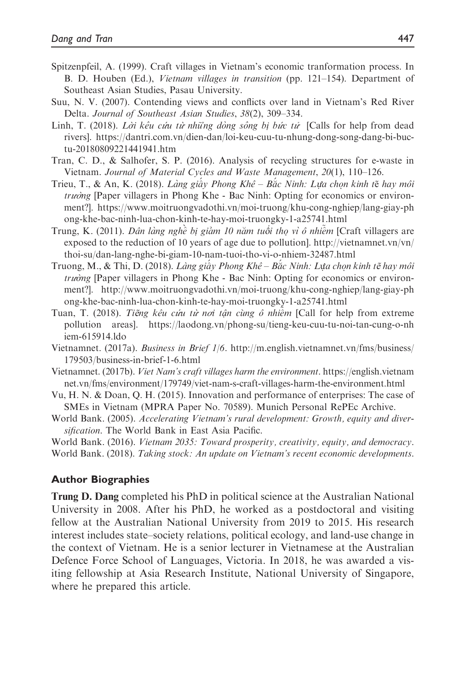- Spitzenpfeil, A. (1999). Craft villages in Vietnam's economic tranformation process. In B. D. Houben (Ed.), Vietnam villages in transition (pp. 121–154). Department of Southeast Asian Studies, Pasau University.
- Suu, N. V. (2007). Contending views and conflicts over land in Vietnam's Red River Delta. Journal of Southeast Asian Studies, 38(2), 309–334.
- Linh, T. (2018). Lời kêu cứu từ những dòng sông bị bức tử [Calls for help from dead rivers]. [https://dantri.com.vn/dien-dan/loi-keu-cuu-tu-nhung-dong-song-dang-bi-buc](https://dantri.com.vn/dien-dan/loi-keu-cuu-tu-nhung-dong-song-dang-bi-buc-tu-20180809221441941.htm)[tu-20180809221441941.htm](https://dantri.com.vn/dien-dan/loi-keu-cuu-tu-nhung-dong-song-dang-bi-buc-tu-20180809221441941.htm)
- Tran, C. D., & Salhofer, S. P. (2016). Analysis of recycling structures for e-waste in Vietnam. Journal of Material Cycles and Waste Management, 20(1), 110–126.
- Trieu, T., & An, K. (2018). *Làng giấy Phong Khê Bắc Ninh: Lựa chọn kinh tế hay môi*<br>trưởng Paper villagers in Phong Khe Bạc Ninh: Opting for economics or environtrư<sup>ờ</sup>ng [Paper villagers in Phong Khe - Bac Ninh: Opting for economics or environment?]. [https://www.moitruongvadothi.vn/moi-truong/khu-cong-nghiep/lang-giay-ph](https://www.moitruongvadothi.vn/moi-truong/khu-cong-nghiep/lang-giay-phong-khe-bac-ninh-lua-chon-kinh-te-hay-moi-truongky-1-a25741.html) [ong-khe-bac-ninh-lua-chon-kinh-te-hay-moi-truongky-1-a25741.html](https://www.moitruongvadothi.vn/moi-truong/khu-cong-nghiep/lang-giay-phong-khe-bac-ninh-lua-chon-kinh-te-hay-moi-truongky-1-a25741.html)
- Trung, K. (2011). *Dân làng nghề bị giảm 10 năm tuổi thọ vì ô nhiễm* [Craft villagers are<br>exposed to the reduction of 10 years of age due to pollution] http://vietnamnet.yn/yn/ exposed to the reduction of 10 years of age due to pollution]. [http://vietnamnet.vn/vn/](http://vietnamnet.vn/vn/thoi-su/dan-lang-nghe-bi-giam-10-nam-tuoi-tho-vi-o-nhiem-32487.html) [thoi-su/dan-lang-nghe-bi-giam-10-nam-tuoi-tho-vi-o-nhiem-32487.html](http://vietnamnet.vn/vn/thoi-su/dan-lang-nghe-bi-giam-10-nam-tuoi-tho-vi-o-nhiem-32487.html)
- Truong, M., & Thi, D. (2018). Làng giấy Phong Khê Bắc Ninh: Lựa chọn kinh tế hay môi trường [Paper villagers in Phong Khe Bạc Ninh: Opting for economics or environtrường [Paper villagers in Phong Khe - Bac Ninh: Opting for economics or environment?]. [http://www.moitruongvadothi.vn/moi-truong/khu-cong-nghiep/lang-giay-ph](http://www.moitruongvadothi.vn/moi-truong/khu-cong-nghiep/lang-giay-phong-khe-bac-ninh-lua-chon-kinh-te-hay-moi-truongky-1-a25741.html) [ong-khe-bac-ninh-lua-chon-kinh-te-hay-moi-truongky-1-a25741.html](http://www.moitruongvadothi.vn/moi-truong/khu-cong-nghiep/lang-giay-phong-khe-bac-ninh-lua-chon-kinh-te-hay-moi-truongky-1-a25741.html)
- Tuan, T. (2018). Tiếng kêu cứu từ nơi tận cùng ô nhiệm [Call for help from extreme pollution areas]. [https://laodong.vn/phong-su/tieng-keu-cuu-tu-noi-tan-cung-o-nh](https://laodong.vn/phong-su/tieng-keu-cuu-tu-noi-tan-cung-o-nhiem-615914.ldo) [iem-615914.ldo](https://laodong.vn/phong-su/tieng-keu-cuu-tu-noi-tan-cung-o-nhiem-615914.ldo)
- Vietnamnet. (2017a). Business in Brief 1/6. [http://m.english.vietnamnet.vn/fms/business/](http://m.english.vietnamnet.vn/fms/business/179503/business-in-brief-1-6.html) [179503/business-in-brief-1-6.html](http://m.english.vietnamnet.vn/fms/business/179503/business-in-brief-1-6.html)
- Vietnamnet. (2017b). Viet Nam's craft villages harm the environment. [https://english.vietnam](https://english.vietnamnet.vn/fms/environment/179749/viet-nam-s-craft-villages-harm-the-environment.html) [net.vn/fms/environment/179749/viet-nam-s-craft-villages-harm-the-environment.html](https://english.vietnamnet.vn/fms/environment/179749/viet-nam-s-craft-villages-harm-the-environment.html)
- Vu, H. N. & Doan, Q. H. (2015). Innovation and performance of enterprises: The case of SMEs in Vietnam (MPRA Paper No. 70589). Munich Personal RePEc Archive.
- World Bank. (2005). Accelerating Vietnam's rural development: Growth, equity and diversification. The World Bank in East Asia Pacific.
- World Bank. (2016). Vietnam 2035: Toward prosperity, creativity, equity, and democracy.
- World Bank. (2018). Taking stock: An update on Vietnam's recent economic developments.

#### Author Biographies

Trung D. Dang completed his PhD in political science at the Australian National University in 2008. After his PhD, he worked as a postdoctoral and visiting fellow at the Australian National University from 2019 to 2015. His research interest includes state–society relations, political ecology, and land-use change in the context of Vietnam. He is a senior lecturer in Vietnamese at the Australian Defence Force School of Languages, Victoria. In 2018, he was awarded a visiting fellowship at Asia Research Institute, National University of Singapore, where he prepared this article.